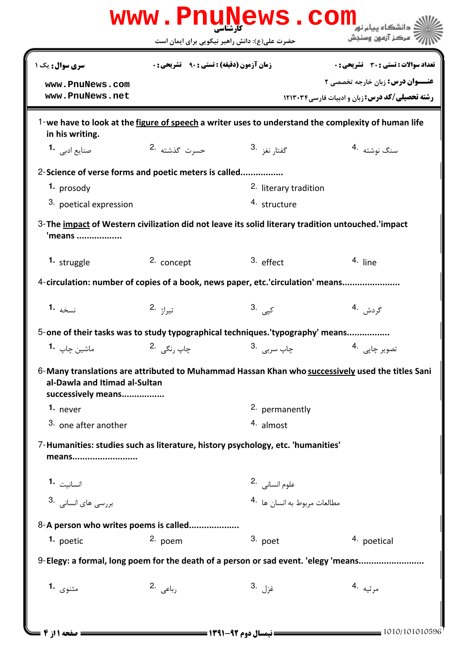|                                                                                                             | حضرت علی(ع): دانش راهبر نیکویی برای ایمان است |                              | ' مرڪز آزمون وسنڊش                                                                                 |
|-------------------------------------------------------------------------------------------------------------|-----------------------------------------------|------------------------------|----------------------------------------------------------------------------------------------------|
| سری سوال: یک ۱                                                                                              | زمان آزمون (دقیقه) : تستی : 90 ٪ تشریحی : 0   |                              | <b>تعداد سوالات : تستي : 30 ٪ تشريحي : 0</b>                                                       |
| www.PnuNews.com                                                                                             |                                               |                              | <b>عنـــوان درس:</b> زبان خارجه تخصصی ۲                                                            |
| www.PnuNews.net                                                                                             |                                               |                              | <b>رشته تحصیلی/کد درس: ; بان و ادبیات فارسی ۱۲۱۳۰۳۴</b>                                            |
| in his writing.                                                                                             |                                               |                              | 1-we have to look at the figure of speech a writer uses to understand the complexity of human life |
| صنایع ادبی   • <b>1</b>                                                                                     | حسرت گذشته 2.                                 | گفتا, نغز <sup>.3</sup>      | سنگ نوشته 4.                                                                                       |
| 2-Science of verse forms and poetic meters is called                                                        |                                               |                              |                                                                                                    |
| 1. prosody                                                                                                  |                                               | 2. literary tradition        |                                                                                                    |
| 3. poetical expression                                                                                      |                                               | 4. structure                 |                                                                                                    |
| 3-The impact of Western civilization did not leave its solid literary tradition untouched. Impact<br>'means |                                               |                              |                                                                                                    |
| 1. struggle                                                                                                 | 2. concept                                    | $3.$ effect                  | $4.$ line                                                                                          |
| 4-circulation: number of copies of a book, news paper, etc.'circulation' means                              |                                               |                              |                                                                                                    |
| نسخه 1.                                                                                                     | تيراژ .2                                      | 3. <sub>کپی</sub>            | گردش .4                                                                                            |
| 5-one of their tasks was to study typographical techniques. 'typography' means                              |                                               |                              |                                                                                                    |
| ماشين چاپ <b>1</b>                                                                                          | چاپ <sub>ر</sub> نگے <sub>،</sub> 2.          | چاپ سرب <sub>ی،</sub> 3.     | تصوير چاپى  .4                                                                                     |
| al-Dawla and Itimad al-Sultan<br>successively means                                                         |                                               |                              | 6-Many translations are attributed to Muhammad Hassan Khan who successively used the titles Sani   |
| 1. never                                                                                                    |                                               | 2. permanently               |                                                                                                    |
| 3. one after another                                                                                        |                                               | $4.$ almost                  |                                                                                                    |
| 7-Humanities: studies such as literature, history psychology, etc. 'humanities'<br>means                    |                                               |                              |                                                                                                    |
| انسانيت 1.                                                                                                  |                                               | علوم انسانی <sup>.2</sup>    |                                                                                                    |
| بررسی های انسانی .3                                                                                         |                                               | مطالعات مربوط به انسان ها 4. |                                                                                                    |
| 8-A person who writes poems is called                                                                       |                                               |                              |                                                                                                    |
| 1. poetic                                                                                                   | 2. poem                                       | 3. poet                      | 4. poetical                                                                                        |
|                                                                                                             |                                               |                              | 9-Elegy: a formal, long poem for the death of a person or sad event. 'elegy 'means                 |
| مثنوی <b>1.</b>                                                                                             | رباعی .2                                      | غزل 3.                       | مرثيه .4                                                                                           |
|                                                                                                             |                                               |                              |                                                                                                    |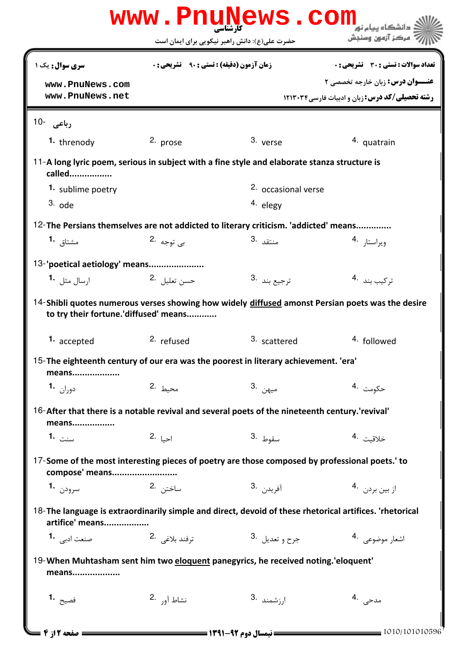|                                                                                                                            |                                                    | www.PnuNews.com<br>حضرت علی(ع): دانش راهبر نیکویی برای ایمان است |                                                                                                   |
|----------------------------------------------------------------------------------------------------------------------------|----------------------------------------------------|------------------------------------------------------------------|---------------------------------------------------------------------------------------------------|
| <b>سری سوال:</b> یک ۱                                                                                                      | <b>زمان آزمون (دقیقه) : تستی : 90 ٪ تشریحی : 0</b> |                                                                  | تعداد سوالات : تستى : 30 ٪ تشريحي : 0                                                             |
| www.PnuNews.com<br>www.PnuNews.net                                                                                         |                                                    |                                                                  | <b>عنـــوان درس:</b> زبان خارجه تخصصی ۲<br><b>رشته تحصیلی/کد درس:</b> زبان و ادبیات فارسی ۱۲۱۳۰۳۴ |
| رباعی -10                                                                                                                  |                                                    |                                                                  |                                                                                                   |
| 1. threnody                                                                                                                | 2. prose                                           | 3. verse                                                         | 4. quatrain                                                                                       |
| 11-A long lyric poem, serious in subject with a fine style and elaborate stanza structure is<br>called                     |                                                    |                                                                  |                                                                                                   |
| 1. sublime poetry                                                                                                          |                                                    | 2. occasional verse                                              |                                                                                                   |
| $3.$ ode                                                                                                                   |                                                    | 4. elegy                                                         |                                                                                                   |
| 12-The Persians themselves are not addicted to literary criticism. 'addicted' means                                        |                                                    |                                                                  |                                                                                                   |
| مشتاق 1.                                                                                                                   | ب <sub>ي</sub> توجه 2.                             | 3. منتقد                                                         | ويراستا, 4.                                                                                       |
| 13-'poetical aetiology' means                                                                                              |                                                    |                                                                  |                                                                                                   |
| ا <sub>د</sub> سال مثل 1 <b>۰</b>                                                                                          | حسن تعليل 2.                                       | 3. ترجيع بند                                                     | تركيب بند 4.                                                                                      |
| to try their fortune.'diffused' means                                                                                      |                                                    |                                                                  | 14-Shibli quotes numerous verses showing how widely diffused amonst Persian poets was the desire  |
| 1. accepted                                                                                                                | <sup>2.</sup> refused                              | 3. scattered                                                     | <sup>4.</sup> followed                                                                            |
| 15-The eighteenth century of our era was the poorest in literary achievement. 'era'<br>means                               |                                                    |                                                                  |                                                                                                   |
| دوران <b>1.</b>                                                                                                            | محيط 2.                                            | ميهن .3                                                          | حكومت <sup>.4</sup>                                                                               |
| 16-After that there is a notable revival and several poets of the nineteenth century.'revival'<br>means                    |                                                    |                                                                  |                                                                                                   |
| 1. سنت                                                                                                                     | 2.  z                                              | سقوط .3                                                          | خلاقيت .4                                                                                         |
| 17-Some of the most interesting pieces of poetry are those composed by professional poets.' to<br>compose' means           |                                                    |                                                                  |                                                                                                   |
| سرودن 1.                                                                                                                   | ساختن .2                                           | آفريد <sub>ن</sub> .3                                            | از بین بردن۔4                                                                                     |
| 18-The language is extraordinarily simple and direct, devoid of these rhetorical artifices. 'rhetorical<br>artifice' means |                                                    |                                                                  |                                                                                                   |
| صنعت ادبی <b>1</b> ۰                                                                                                       | ترفند بلاغي 2.                                     | جرح و تعديل <sup>3</sup> ۰                                       | اشعار موضوعی . 4                                                                                  |
| 19-When Muhtasham sent him two eloquent panegyrics, he received noting.'eloquent'<br>means                                 |                                                    |                                                                  |                                                                                                   |
| فصيح <b>.1</b>                                                                                                             | نشاط آ <sub>ور</sub> .2                            | ارزشمند <sup>.3</sup>                                            | مدحی ۔4                                                                                           |
| = صفحه 12ز 4 <b>س</b>                                                                                                      |                                                    | <b>ــــ نیمسال دوم ۹۲-۱۳۹۱ ــــــــــــ</b>                      | $=$ 1010/101010596                                                                                |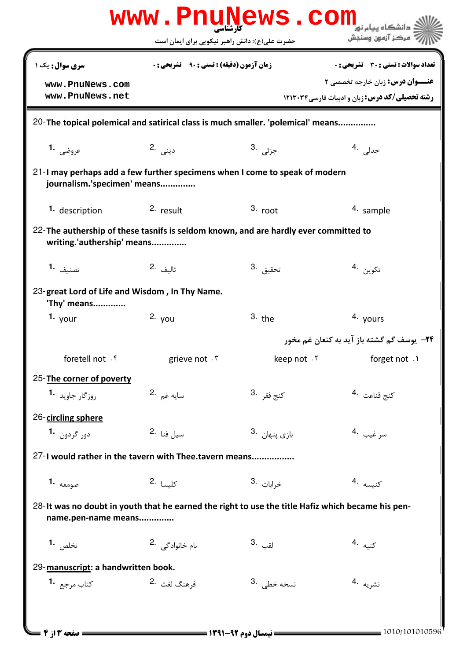|                                                                                                                          | www.PnuNews.com<br>حضرت علی(ع): دانش راهبر نیکویی برای ایمان است                                           |                          | مركز آزمون وسنجش                                                                        |  |  |  |
|--------------------------------------------------------------------------------------------------------------------------|------------------------------------------------------------------------------------------------------------|--------------------------|-----------------------------------------------------------------------------------------|--|--|--|
| <b>سری سوال :</b> یک ۱<br>www.PnuNews.com                                                                                | <b>زمان آزمون (دقیقه) : تستی : 90 ٪ تشریحی: 0</b>                                                          |                          | <b>تعداد سوالات : تستی : 30 ٪ تشریحی : 0</b><br><b>عنـــوان درس:</b> زبان خارجه تخصصی ۲ |  |  |  |
| www.PnuNews.net                                                                                                          |                                                                                                            |                          | <b>رشته تحصیلی/کد درس:</b> زبان و ادبیات فارسی ۱۲۱۳۰۳۴                                  |  |  |  |
| 20-The topical polemical and satirical class is much smaller. 'polemical' means                                          |                                                                                                            |                          |                                                                                         |  |  |  |
| عروضي 1.                                                                                                                 | دينى .2                                                                                                    | ج <sub>زئی</sub> .3      | جدلی .4                                                                                 |  |  |  |
|                                                                                                                          | 21-I may perhaps add a few further specimens when I come to speak of modern<br>journalism.'specimen' means |                          |                                                                                         |  |  |  |
| 1. description                                                                                                           | 2. result                                                                                                  | $3.$ root                | 4. sample                                                                               |  |  |  |
| 22-The authership of these tasnifs is seldom known, and are hardly ever committed to<br>writing.'authership' means       |                                                                                                            |                          |                                                                                         |  |  |  |
| تصنيف <b>1.</b>                                                                                                          | 2. تاليف                                                                                                   | تحقيق <sup>.3</sup>      | تكوين .4                                                                                |  |  |  |
| 23-great Lord of Life and Wisdom, In Thy Name.<br>'Thy' means                                                            |                                                                                                            |                          |                                                                                         |  |  |  |
| 1. $_{\text{your}}$                                                                                                      | $2.$ you                                                                                                   | $3.$ the                 | 4. yours                                                                                |  |  |  |
|                                                                                                                          |                                                                                                            |                          | <b>۲۴</b> - یوسف گم گشته باز آید به کنعان غم مخور                                       |  |  |  |
| foretell not . f                                                                                                         | grieve not . ٣                                                                                             | keep not . ٢             | forget not .1                                                                           |  |  |  |
| 25-The corner of poverty                                                                                                 |                                                                                                            |                          |                                                                                         |  |  |  |
| روزگار جاوید <sup>1</sup> ۰                                                                                              | سايه غم .2                                                                                                 | كنج فق <sub>ر</sub> .3   | كنج قناعت 4.                                                                            |  |  |  |
| 26-circling sphere                                                                                                       |                                                                                                            |                          |                                                                                         |  |  |  |
| دور گردون <b>1</b> ۰                                                                                                     | 2. نسيل فنا                                                                                                | بازى پنهان <sup>.3</sup> | سر غيب 4.                                                                               |  |  |  |
| 27-I would rather in the tavern with Thee.tavern means                                                                   |                                                                                                            |                          |                                                                                         |  |  |  |
| <b>1.</b> صومعه                                                                                                          | كلبسا 2.                                                                                                   | 3. خ <sub>ر</sub> ابات   | كنيسه 4.                                                                                |  |  |  |
| 28-It was no doubt in youth that he earned the right to use the title Hafiz which became his pen-<br>name.pen-name means |                                                                                                            |                          |                                                                                         |  |  |  |
| تخلص <b>1.</b>                                                                                                           | نام خانوادگی 2.                                                                                            | القب .3                  | كنيه .4                                                                                 |  |  |  |
| 29-manuscript: a handwritten book.                                                                                       |                                                                                                            |                          |                                                                                         |  |  |  |
| كتاب مرجع <b>1</b>                                                                                                       | فرهنگ لغت 2.                                                                                               | نسخه خطی .3              | نشريه .4                                                                                |  |  |  |
|                                                                                                                          |                                                                                                            |                          |                                                                                         |  |  |  |